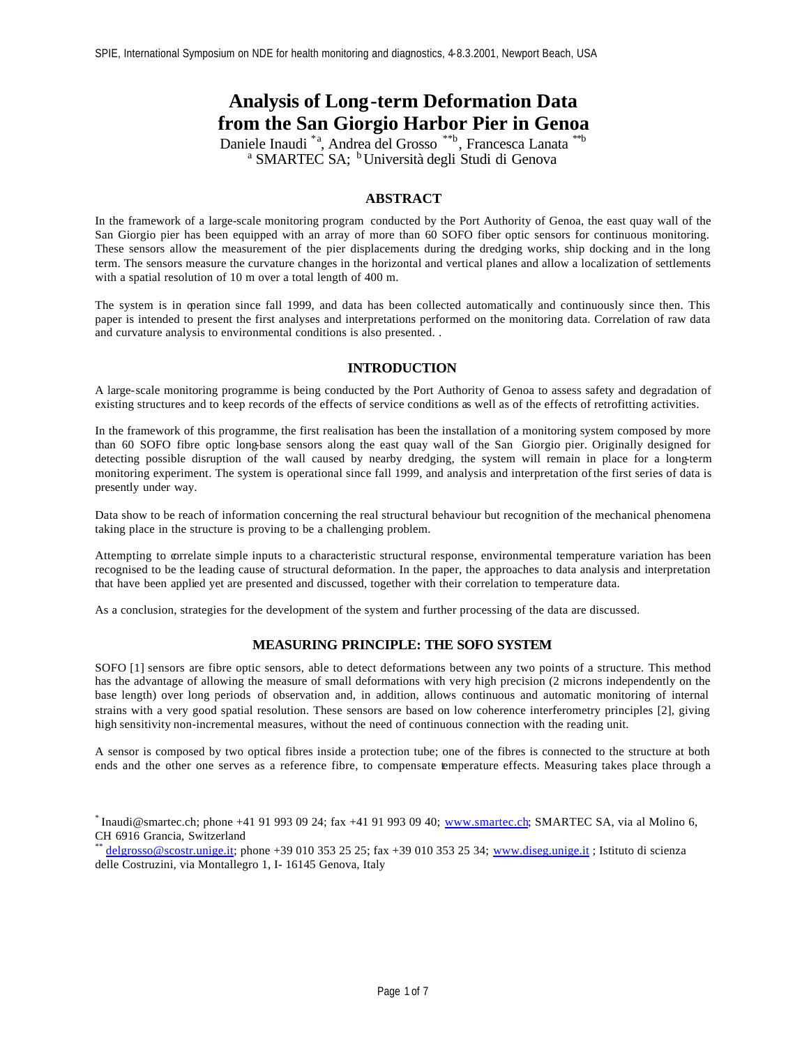# **Analysis of Long-term Deformation Data from the San Giorgio Harbor Pier in Genoa**

Daniele Inaudi \*a, Andrea del Grosso \*\*b, Francesca Lanata \*\*b <sup>a</sup> SMARTEC SA; <sup>b</sup>Università degli Studi di Genova

## **ABSTRACT**

In the framework of a large-scale monitoring program conducted by the Port Authority of Genoa, the east quay wall of the San Giorgio pier has been equipped with an array of more than 60 SOFO fiber optic sensors for continuous monitoring. These sensors allow the measurement of the pier displacements during the dredging works, ship docking and in the long term. The sensors measure the curvature changes in the horizontal and vertical planes and allow a localization of settlements with a spatial resolution of 10 m over a total length of 400 m.

The system is in operation since fall 1999, and data has been collected automatically and continuously since then. This paper is intended to present the first analyses and interpretations performed on the monitoring data. Correlation of raw data and curvature analysis to environmental conditions is also presented. .

### **INTRODUCTION**

A large-scale monitoring programme is being conducted by the Port Authority of Genoa to assess safety and degradation of existing structures and to keep records of the effects of service conditions as well as of the effects of retrofitting activities.

In the framework of this programme, the first realisation has been the installation of a monitoring system composed by more than 60 SOFO fibre optic long-base sensors along the east quay wall of the San Giorgio pier. Originally designed for detecting possible disruption of the wall caused by nearby dredging, the system will remain in place for a long-term monitoring experiment. The system is operational since fall 1999, and analysis and interpretation of the first series of data is presently under way.

Data show to be reach of information concerning the real structural behaviour but recognition of the mechanical phenomena taking place in the structure is proving to be a challenging problem.

Attempting to correlate simple inputs to a characteristic structural response, environmental temperature variation has been recognised to be the leading cause of structural deformation. In the paper, the approaches to data analysis and interpretation that have been applied yet are presented and discussed, together with their correlation to temperature data.

As a conclusion, strategies for the development of the system and further processing of the data are discussed.

#### **MEASURING PRINCIPLE: THE SOFO SYSTEM**

SOFO [1] sensors are fibre optic sensors, able to detect deformations between any two points of a structure. This method has the advantage of allowing the measure of small deformations with very high precision (2 microns independently on the base length) over long periods of observation and, in addition, allows continuous and automatic monitoring of internal strains with a very good spatial resolution. These sensors are based on low coherence interferometry principles [2], giving high sensitivity non-incremental measures, without the need of continuous connection with the reading unit.

A sensor is composed by two optical fibres inside a protection tube; one of the fibres is connected to the structure at both ends and the other one serves as a reference fibre, to compensate temperature effects. Measuring takes place through a

 $*$  Inaudi@smartec.ch; phone +41 91 993 09 24; fax +41 91 993 09 40; www.smartec.ch; SMARTEC SA, via al Molino 6, CH 6916 Grancia, Switzerland

 $\alpha$  delgrosso@scostr.unige.it; phone +39 010 353 25 25; fax +39 010 353 25 34; www.diseg.unige.it; Istituto di scienza delle Costruzini, via Montallegro 1, I- 16145 Genova, Italy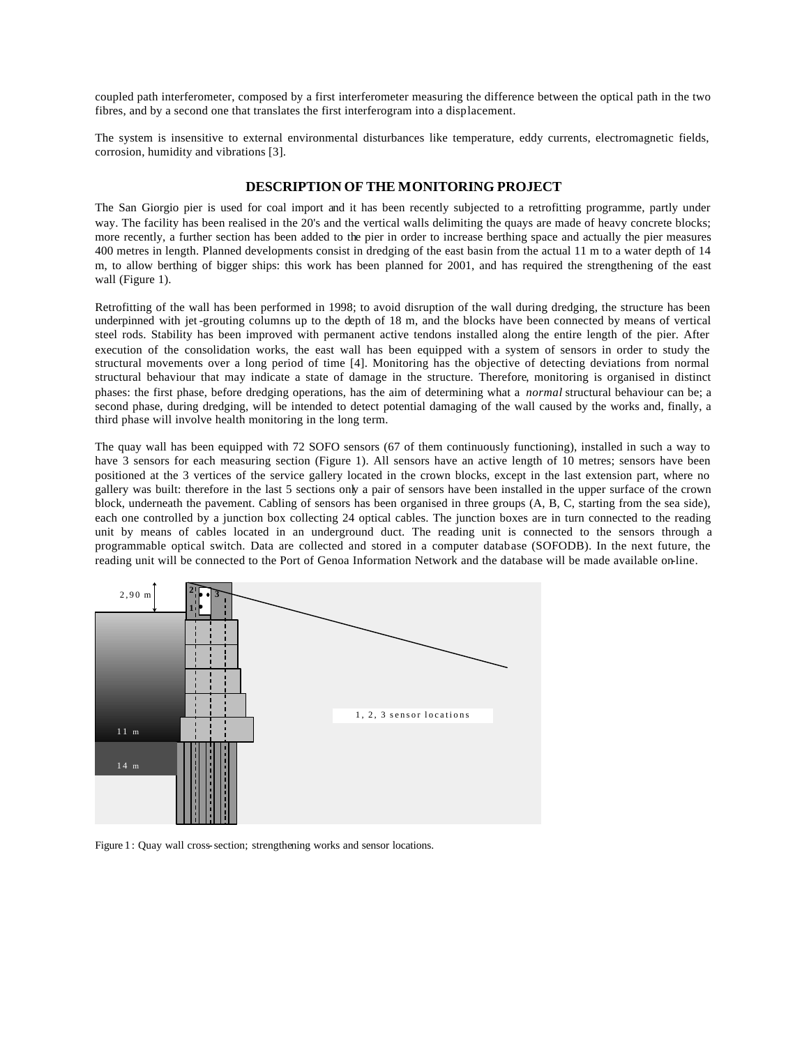coupled path interferometer, composed by a first interferometer measuring the difference between the optical path in the two fibres, and by a second one that translates the first interferogram into a displacement.

The system is insensitive to external environmental disturbances like temperature, eddy currents, electromagnetic fields, corrosion, humidity and vibrations [3].

#### **DESCRIPTION OF THE MONITORING PROJECT**

The San Giorgio pier is used for coal import and it has been recently subjected to a retrofitting programme, partly under way. The facility has been realised in the 20's and the vertical walls delimiting the quays are made of heavy concrete blocks; more recently, a further section has been added to the pier in order to increase berthing space and actually the pier measures 400 metres in length. Planned developments consist in dredging of the east basin from the actual 11 m to a water depth of 14 m, to allow berthing of bigger ships: this work has been planned for 2001, and has required the strengthening of the east wall (Figure 1).

Retrofitting of the wall has been performed in 1998; to avoid disruption of the wall during dredging, the structure has been underpinned with jet-grouting columns up to the depth of 18 m, and the blocks have been connected by means of vertical steel rods. Stability has been improved with permanent active tendons installed along the entire length of the pier. After execution of the consolidation works, the east wall has been equipped with a system of sensors in order to study the structural movements over a long period of time [4]. Monitoring has the objective of detecting deviations from normal structural behaviour that may indicate a state of damage in the structure. Therefore, monitoring is organised in distinct phases: the first phase, before dredging operations, has the aim of determining what a *normal* structural behaviour can be; a second phase, during dredging, will be intended to detect potential damaging of the wall caused by the works and, finally, a third phase will involve health monitoring in the long term.

The quay wall has been equipped with 72 SOFO sensors (67 of them continuously functioning), installed in such a way to have 3 sensors for each measuring section (Figure 1). All sensors have an active length of 10 metres; sensors have been positioned at the 3 vertices of the service gallery located in the crown blocks, except in the last extension part, where no gallery was built: therefore in the last 5 sections only a pair of sensors have been installed in the upper surface of the crown block, underneath the pavement. Cabling of sensors has been organised in three groups (A, B, C, starting from the sea side), each one controlled by a junction box collecting 24 optical cables. The junction boxes are in turn connected to the reading unit by means of cables located in an underground duct. The reading unit is connected to the sensors through a programmable optical switch. Data are collected and stored in a computer database (SOFODB). In the next future, the reading unit will be connected to the Port of Genoa Information Network and the database will be made available on-line.



Figure 1 : Quay wall cross-section; strengthening works and sensor locations.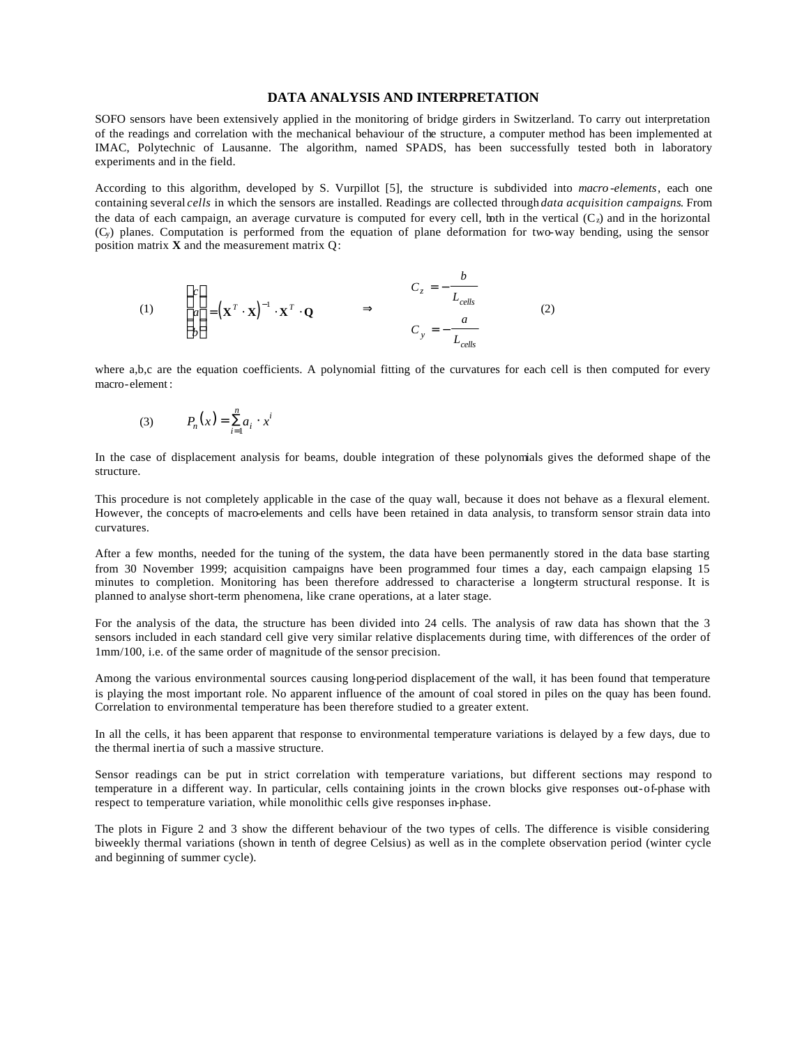#### **DATA ANALYSIS AND INTERPRETATION**

SOFO sensors have been extensively applied in the monitoring of bridge girders in Switzerland. To carry out interpretation of the readings and correlation with the mechanical behaviour of the structure, a computer method has been implemented at IMAC, Polytechnic of Lausanne. The algorithm, named SPADS, has been successfully tested both in laboratory experiments and in the field.

According to this algorithm, developed by S. Vurpillot [5], the structure is subdivided into *macro -elements*, each one containing several *cells* in which the sensors are installed. Readings are collected through *data acquisition campaigns*. From the data of each campaign, an average curvature is computed for every cell, both in the vertical  $(C_2)$  and in the horizontal (Cy) planes. Computation is performed from the equation of plane deformation for two-way bending, using the sensor position matrix **X** and the measurement matrix Q:

(1) 
$$
\begin{pmatrix} c \\ a \\ b \end{pmatrix} = (\mathbf{X}^T \cdot \mathbf{X})^{-1} \cdot \mathbf{X}^T \cdot \mathbf{Q} \Rightarrow C_z = -\frac{b}{L_{cells}}
$$
 (2)

where a,b,c are the equation coefficients. A polynomial fitting of the curvatures for each cell is then computed for every macro-element :

$$
(3) \hspace{1cm} P_n(x) = \sum_{i=1}^n a_i \cdot x^i
$$

In the case of displacement analysis for beams, double integration of these polynomials gives the deformed shape of the structure.

This procedure is not completely applicable in the case of the quay wall, because it does not behave as a flexural element. However, the concepts of macro-elements and cells have been retained in data analysis, to transform sensor strain data into curvatures.

After a few months, needed for the tuning of the system, the data have been permanently stored in the data base starting from 30 November 1999; acquisition campaigns have been programmed four times a day, each campaign elapsing 15 minutes to completion. Monitoring has been therefore addressed to characterise a long-term structural response. It is planned to analyse short-term phenomena, like crane operations, at a later stage.

For the analysis of the data, the structure has been divided into 24 cells. The analysis of raw data has shown that the 3 sensors included in each standard cell give very similar relative displacements during time, with differences of the order of 1mm/100, i.e. of the same order of magnitude of the sensor precision.

Among the various environmental sources causing long-period displacement of the wall, it has been found that temperature is playing the most important role. No apparent influence of the amount of coal stored in piles on the quay has been found. Correlation to environmental temperature has been therefore studied to a greater extent.

In all the cells, it has been apparent that response to environmental temperature variations is delayed by a few days, due to the thermal inertia of such a massive structure.

Sensor readings can be put in strict correlation with temperature variations, but different sections may respond to temperature in a different way. In particular, cells containing joints in the crown blocks give responses out-of-phase with respect to temperature variation, while monolithic cells give responses in-phase.

The plots in Figure 2 and 3 show the different behaviour of the two types of cells. The difference is visible considering biweekly thermal variations (shown in tenth of degree Celsius) as well as in the complete observation period (winter cycle and beginning of summer cycle).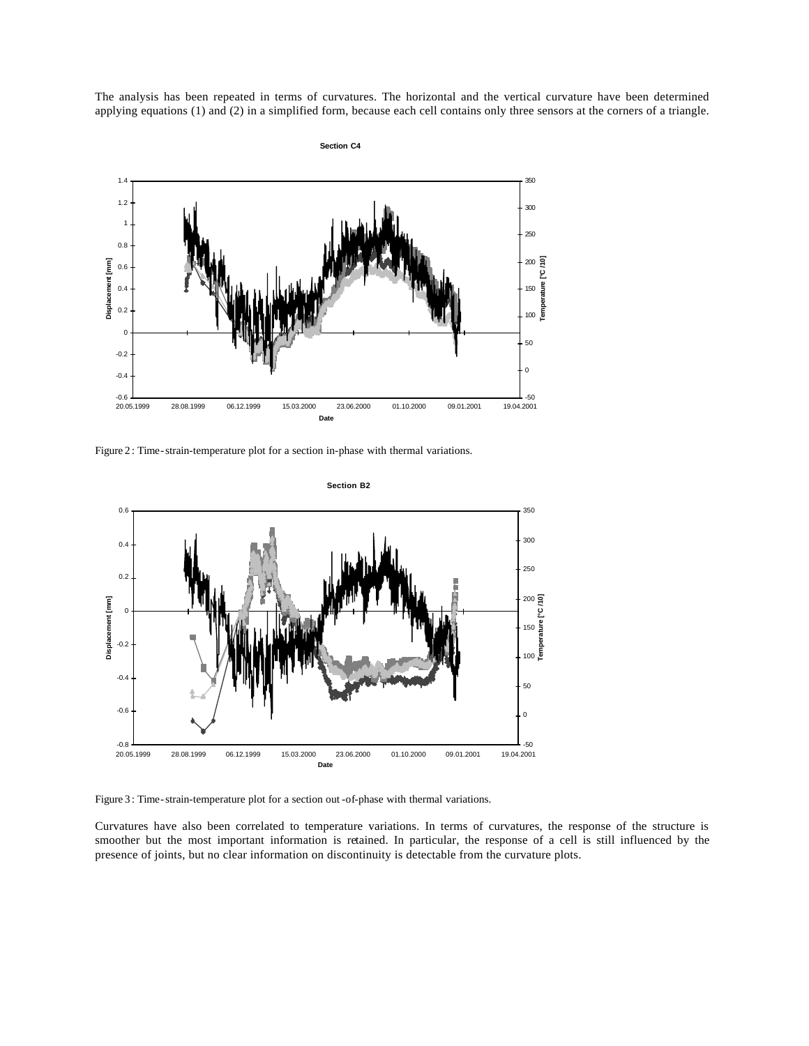The analysis has been repeated in terms of curvatures. The horizontal and the vertical curvature have been determined applying equations (1) and (2) in a simplified form, because each cell contains only three sensors at the corners of a triangle.



Figure 2 : Time-strain-temperature plot for a section in-phase with thermal variations.



Figure 3 : Time-strain-temperature plot for a section out -of-phase with thermal variations.

Curvatures have also been correlated to temperature variations. In terms of curvatures, the response of the structure is smoother but the most important information is retained. In particular, the response of a cell is still influenced by the presence of joints, but no clear information on discontinuity is detectable from the curvature plots.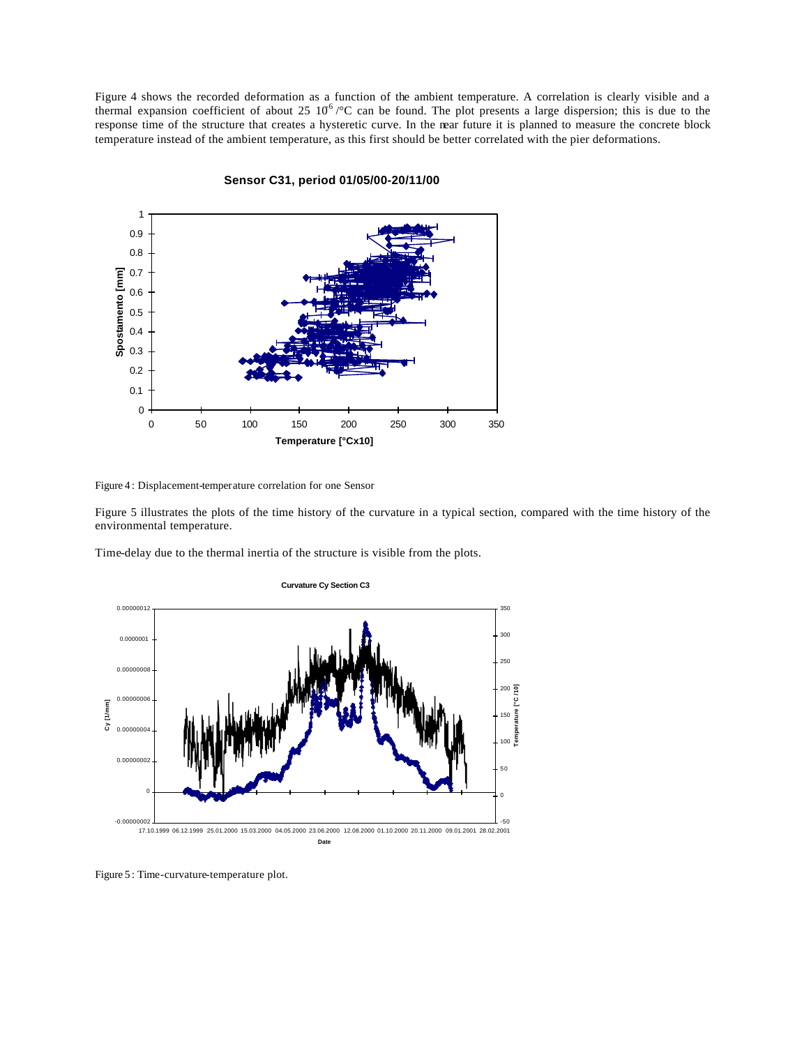Figure 4 shows the recorded deformation as a function of the ambient temperature. A correlation is clearly visible and a thermal expansion coefficient of about 25  $10^6$ /°C can be found. The plot presents a large dispersion; this is due to the response time of the structure that creates a hysteretic curve. In the near future it is planned to measure the concrete block temperature instead of the ambient temperature, as this first should be better correlated with the pier deformations.



 **Sensor C31, period 01/05/00-20/11/00**

Figure 4 : Displacement-temperature correlation for one Sensor

Figure 5 illustrates the plots of the time history of the curvature in a typical section, compared with the time history of the environmental temperature.

Time-delay due to the thermal inertia of the structure is visible from the plots.





Figure 5 : Time-curvature-temperature plot.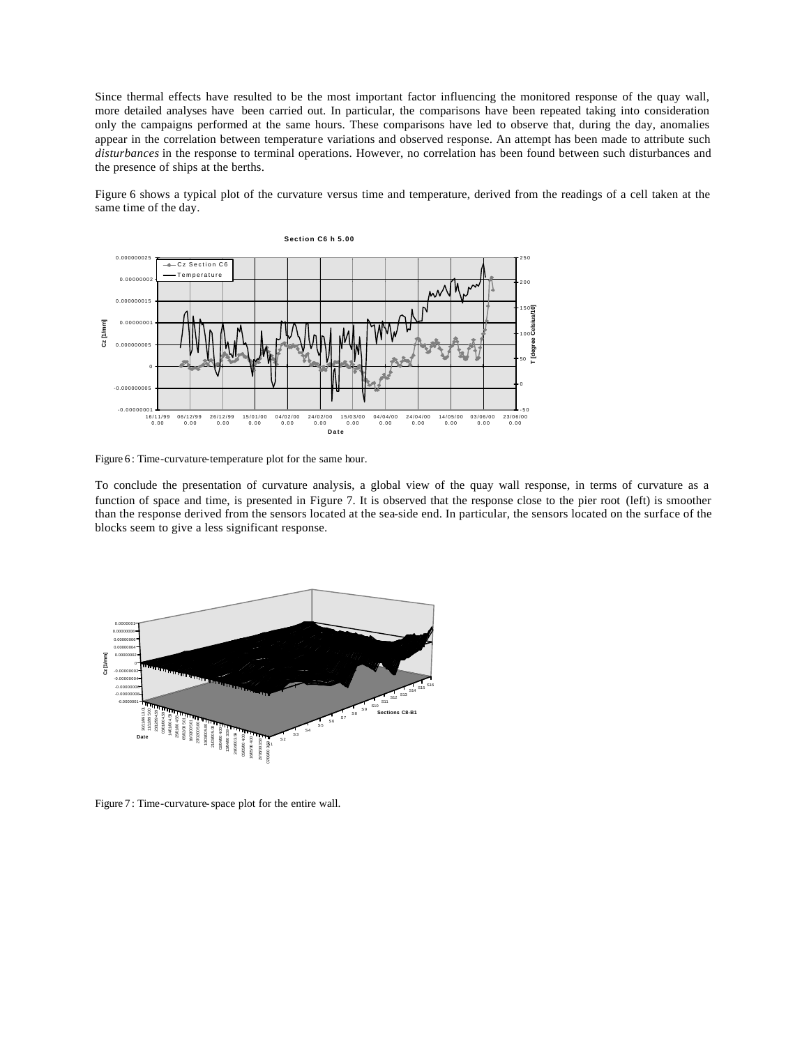Since thermal effects have resulted to be the most important factor influencing the monitored response of the quay wall, more detailed analyses have been carried out. In particular, the comparisons have been repeated taking into consideration only the campaigns performed at the same hours. These comparisons have led to observe that, during the day, anomalies appear in the correlation between temperature variations and observed response. An attempt has been made to attribute such *disturbances* in the response to terminal operations. However, no correlation has been found between such disturbances and the presence of ships at the berths.

Figure 6 shows a typical plot of the curvature versus time and temperature, derived from the readings of a cell taken at the same time of the day.



Figure 6: Time-curvature-temperature plot for the same hour.

To conclude the presentation of curvature analysis, a global view of the quay wall response, in terms of curvature as a function of space and time, is presented in Figure 7. It is observed that the response close to the pier root (left) is smoother than the response derived from the sensors located at the sea-side end. In particular, the sensors located on the surface of the blocks seem to give a less significant response.



Figure 7 : Time-curvature-space plot for the entire wall.